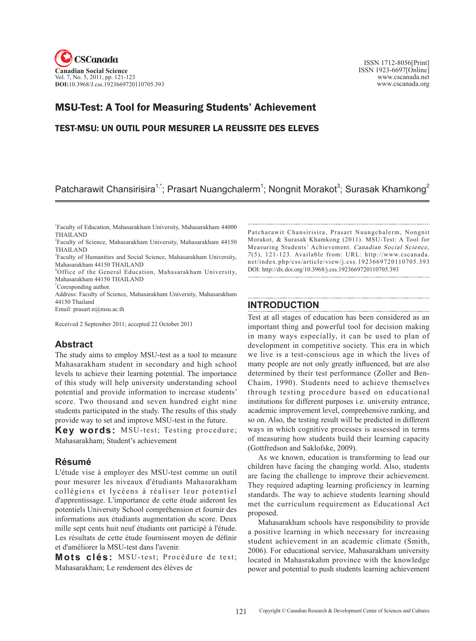

 ISSN 1712-8056[Print] ISSN 1923-6697[Online] www.cscanada.net www.cscanada.org

# MSU-Test: A Tool for Measuring Students' Achievement

# TEST-MSU: UN OUTIL POUR MESURER LA REUSSITE DES ELEVES

# Patcharawit Chansirisira<sup>1,\*</sup>; Prasart Nuangchalerm<sup>1</sup>; Nongnit Morakot<sup>3</sup>; Surasak Khamkong<sup>2</sup>

4 Office of the General Education, Mahasarakham University, Mahasarakham 44150 THAILAND

\* Coresponding author.

Address: Faculty of Science, Mahasarakham University, Mahasarakham 44150 Thailand

Email: prasart.n@msu.ac.th

Received 2 September 2011; accepted 22 October 2011

### **Abstract**

The study aims to employ MSU-test as a tool to measure Mahasarakham student in secondary and high school levels to achieve their learning potential. The importance of this study will help university understanding school potential and provide information to increase students' score. Two thousand and seven hundred eight nine students participated in the study. The results of this study provide way to set and improve MSU-test in the future.

**Key words:** MSU-test; Testing procedure; Mahasarakham; Student's achievement

## **Résumé**

L'étude vise à employer des MSU-test comme un outil pour mesurer les niveaux d'étudiants Mahasarakham collégiens et lycéens à réaliser leur potentiel d'apprentissage. L'importance de cette étude aideront les potentiels University School compréhension et fournir des informations aux étudiants augmentation du score. Deux mille sept cents huit neuf étudiants ont participé à l'étude. Les résultats de cette étude fournissent moyen de définir et d'améliorer la MSU-test dans l'avenir.

Mots clés: MSU-test; Procédure de test; Mahasarakham; Le rendement des élèves de

Patcharawit Chansirisira, Prasart Nuangchalerm, Nongnit Morakot, & Surasak Khamkong (2011). MSU-Test: A Tool for Measuring Students' Achievement. Canadian Social Science, <sup>7</sup> (5), 121-123. Available from: URL: http://www.cscanada. net/index.php/css/article/view/j.css.1923669720110705.393 DOI: http://dx.doi.org/10.3968/j.css.1923669720110705.393 

## **INTRODUCTION**

Test at all stages of education has been considered as an important thing and powerful tool for decision making in many ways especially, it can be used to plan of development in competitive society. This era in which we live is a test-conscious age in which the lives of many people are not only greatly influenced, but are also determined by their test performance (Zoller and Ben-Chaim, 1990). Students need to achieve themselves through testing procedure based on educational institutions for different purposes i.e. university entrance, academic improvement level, comprehensive ranking, and so on. Also, the testing result will be predicted in different ways in which cognitive processes is assessed in terms of measuring how students build their learning capacity (Gottfredson and Saklofske, 2009).

As we known, education is transforming to lead our children have facing the changing world. Also, students are facing the challenge to improve their achievement. They required adapting learning proficiency in learning standards. The way to achieve students learning should met the curriculum requirement as Educational Act proposed.

Mahasarakham schools have responsibility to provide a positive learning in which necessary for increasing student achievement in an academic climate (Smith, 2006). For educational service, Mahasarakham university located in Mahasrakahm province with the knowledge power and potential to push students learning achievement

<sup>1</sup> Faculty of Education, Mahasarakham University, Mahasarakham 44000 THAILAND

<sup>2</sup> Faculty of Science, Mahasarakham University, Mahasarakham 44150 THAILAND

<sup>3</sup> Faculty of Humanities and Social Science, Mahasarakham University, Mahasarakham 44150 THAILAND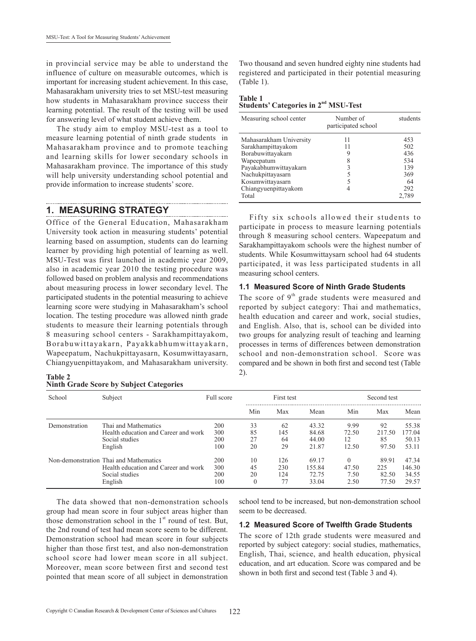in provincial service may be able to understand the influence of culture on measurable outcomes, which is important for increasing student achievement. In this case, Mahasarakham university tries to set MSU-test measuring how students in Mahasarakham province success their learning potential. The result of the testing will be used for answering level of what student achieve them.

The study aim to employ MSU-test as a tool to measure learning potential of ninth grade students in Mahasarakham province and to promote teaching and learning skills for lower secondary schools in Mahasarakham province. The importance of this study will help university understanding school potential and provide information to increase students' score.

#### **1. MEASURING STRATEGY**

Office of the General Education, Mahasarakham University took action in measuring students' potential learning based on assumption, students can do learning learner by providing high potential of learning as well. MSU-Test was first launched in academic year 2009, also in academic year 2010 the testing procedure was followed based on problem analysis and recommendations about measuring process in lower secondary level. The participated students in the potential measuring to achieve learning score were studying in Mahasarakham's school location. The testing procedure was allowed ninth grade students to measure their learning potentials through 8 measuring school centers - Sarakhampittayakom, Borabuwittayakarn, Payakkabhumwittayakarn, Wapeepatum, Nachukpittayasarn, Kosumwittayasarn, Chiangyuenpittayakom, and Mahasarakham university.

| Table 2 |  |  |                                                |
|---------|--|--|------------------------------------------------|
|         |  |  | <b>Ninth Grade Score by Subject Categories</b> |

Two thousand and seven hundred eighty nine students had registered and participated in their potential measuring (Table 1).

#### **Table 1 Students' Categories in 2nd MSU-Test**

| Measuring school center | Number of<br>participated school | students |
|-------------------------|----------------------------------|----------|
| Mahasarakham University | 11                               | 453      |
| Sarakhampittayakom      | 11                               | 502      |
| Borabuwittayakarn       | 9                                | 436      |
| Wapeepatum              | 8                                | 534      |
| Payakabhumwittayakarn   | 3                                | 139      |
| Nachukpittayasarn       | 5                                | 369      |
| Kosumwittayasarn        | 5                                | 64       |
| Chiangyuenpittayakom    | 4                                | 292      |
| Total                   |                                  | 2,789    |

Fifty six schools allowed their students to participate in process to measure learning potentials through 8 measuring school centers. Wapeepatum and Sarakhampittayakom schools were the highest number of students. While Kosumwittaysarn school had 64 students participated, it was less participated students in all measuring school centers.

#### **1.1 Measured Score of Ninth Grade Students**

The score of  $9<sup>th</sup>$  grade students were measured and reported by subject category: Thai and mathematics, health education and career and work, social studies, and English. Also, that is, school can be divided into two groups for analyzing result of teaching and learning processes in terms of differences between demonstration school and non-demonstration school. Score was compared and be shown in both first and second test (Table 2).

| School        | Subject                                | Full score |          | First test |        | Second test |        |        |  |
|---------------|----------------------------------------|------------|----------|------------|--------|-------------|--------|--------|--|
|               |                                        |            | Min      | Max        | Mean   | Min         | Max    | Mean   |  |
| Demonstration | Thai and Mathematics                   | 200        | 33       | 62         | 43.32  | 9.99        | 92     | 55.38  |  |
|               | Health education and Career and work   | 300        | 85       | 145        | 84.68  | 72.50       | 217.50 | 177 04 |  |
|               | Social studies                         | 200        | 27       | 64         | 44.00  | 12          | 85     | 50.13  |  |
|               | English                                | 100        | 20       | 29         | 21.87  | 12.50       | 97.50  | 53.11  |  |
|               | Non-demonstration Thai and Mathematics | 200        | 10       | 126        | 69.17  | $\Omega$    | 89.91  | 47.34  |  |
|               | Health education and Career and work   | 300        | 45       | 230        | 155.84 | 47.50       | 225    | 146.30 |  |
|               | Social studies                         | 200        | 20       | 124        | 72.75  | 7.50        | 82.50  | 34.55  |  |
|               | English                                | 100        | $\Omega$ |            | 33.04  | 2.50        | 77.50  | 29.57  |  |

The data showed that non-demonstration schools group had mean score in four subject areas higher than those demonstration school in the  $1<sup>st</sup>$  round of test. But, the 2nd round of test had mean score seem to be different. Demonstration school had mean score in four subjects higher than those first test, and also non-demonstration school score had lower mean score in all subject. Moreover, mean score between first and second test pointed that mean score of all subject in demonstration school tend to be increased, but non-demonstration school seem to be decreased.

#### **1.2 Measured Score of Twelfth Grade Students**

The score of 12th grade students were measured and reported by subject category: social studies, mathematics, English, Thai, science, and health education, physical education, and art education. Score was compared and be shown in both first and second test (Table 3 and 4).